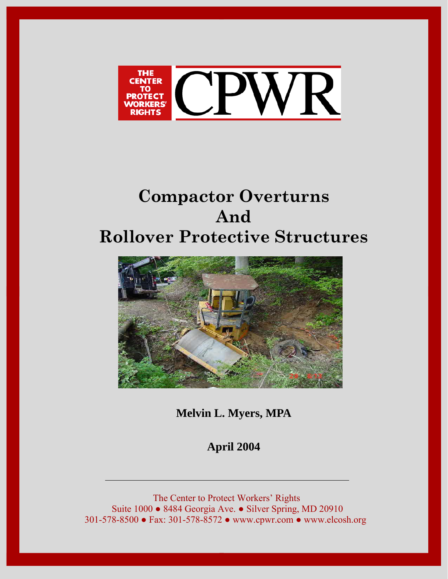

# **Compactor Overturns And Rollover Protective Structures**



**Melvin L. Myers, MPA** 

**April 2004** 

The Center to Protect Workers' Rights Suite 1000 ● 8484 Georgia Ave. ● Silver Spring, MD 20910 301-578-8500 ● Fax: 301-578-8572 ● www.cpwr.com ● www.elcosh.org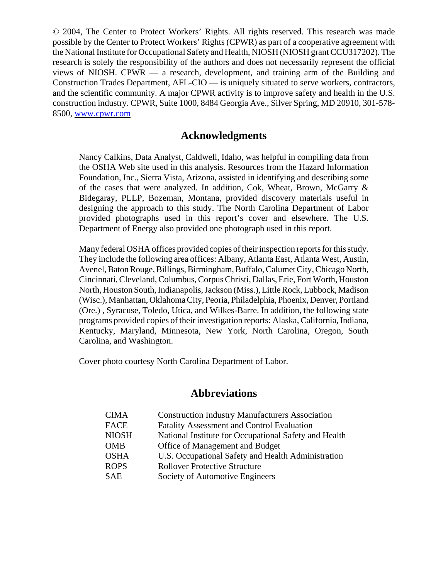© 2004, The Center to Protect Workers' Rights. All rights reserved. This research was made possible by the Center to Protect Workers' Rights (CPWR) as part of a cooperative agreement with the National Institute for Occupational Safety and Health, NIOSH (NIOSH grant CCU317202). The research is solely the responsibility of the authors and does not necessarily represent the official views of NIOSH. CPWR — a research, development, and training arm of the Building and Construction Trades Department, AFL-CIO — is uniquely situated to serve workers, contractors, and the scientific community. A major CPWR activity is to improve safety and health in the U.S. construction industry. CPWR, Suite 1000, 8484 Georgia Ave., Silver Spring, MD 20910, 301-578- 8500, www.cpwr.com

### **Acknowledgments**

Nancy Calkins, Data Analyst, Caldwell, Idaho, was helpful in compiling data from the OSHA Web site used in this analysis. Resources from the Hazard Information Foundation, Inc., Sierra Vista, Arizona, assisted in identifying and describing some of the cases that were analyzed. In addition, Cok, Wheat, Brown, McGarry & Bidegaray, PLLP, Bozeman, Montana, provided discovery materials useful in designing the approach to this study. The North Carolina Department of Labor provided photographs used in this report's cover and elsewhere. The U.S. Department of Energy also provided one photograph used in this report.

Many federal OSHA offices provided copies of their inspection reports for this study. They include the following area offices: Albany, Atlanta East, Atlanta West, Austin, Avenel, Baton Rouge, Billings, Birmingham, Buffalo, Calumet City, Chicago North, Cincinnati, Cleveland, Columbus, Corpus Christi, Dallas, Erie, Fort Worth, Houston North, Houston South, Indianapolis, Jackson (Miss.), Little Rock, Lubbock, Madison (Wisc.), Manhattan, Oklahoma City, Peoria, Philadelphia, Phoenix, Denver, Portland (Ore.) , Syracuse, Toledo, Utica, and Wilkes-Barre. In addition, the following state programs provided copies of their investigation reports: Alaska, California, Indiana, Kentucky, Maryland, Minnesota, New York, North Carolina, Oregon, South Carolina, and Washington.

Cover photo courtesy North Carolina Department of Labor.

# **Abbreviations**

| <b>CIMA</b>  | <b>Construction Industry Manufacturers Association</b> |
|--------------|--------------------------------------------------------|
| <b>FACE</b>  | <b>Fatality Assessment and Control Evaluation</b>      |
| <b>NIOSH</b> | National Institute for Occupational Safety and Health  |
| <b>OMB</b>   | Office of Management and Budget                        |
| <b>OSHA</b>  | U.S. Occupational Safety and Health Administration     |
| <b>ROPS</b>  | <b>Rollover Protective Structure</b>                   |
| <b>SAE</b>   | Society of Automotive Engineers                        |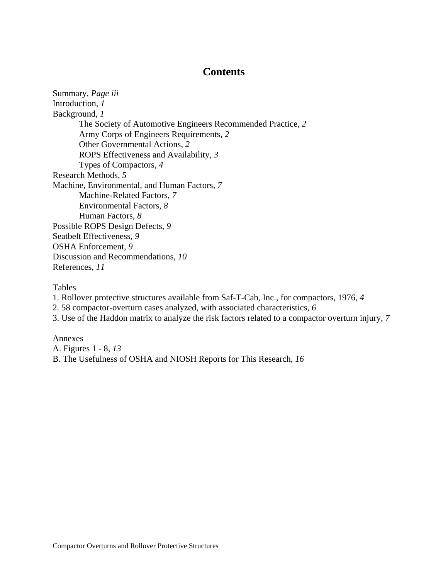# **Contents**

Summary, *Page iii* Introduction, *1* Background, *1* The Society of Automotive Engineers Recommended Practice, *2* Army Corps of Engineers Requirements, *2* Other Governmental Actions, *2* ROPS Effectiveness and Availability, *3* Types of Compactors, *4* Research Methods, *5* Machine, Environmental, and Human Factors, *7* Machine-Related Factors, *7* Environmental Factors, *8* Human Factors, *8* Possible ROPS Design Defects, *9* Seatbelt Effectiveness, *9* OSHA Enforcement, *9* Discussion and Recommendations, *10* References, *11*

Tables

1. Rollover protective structures available from Saf-T-Cab, Inc., for compactors, 1976, *4*

- 2. 58 compactor-overturn cases analyzed, with associated characteristics, *6*
- 3. Use of the Haddon matrix to analyze the risk factors related to a compactor overturn injury, *7*

Annexes

A. Figures 1 - 8, *13*

B. The Usefulness of OSHA and NIOSH Reports for This Research, *16*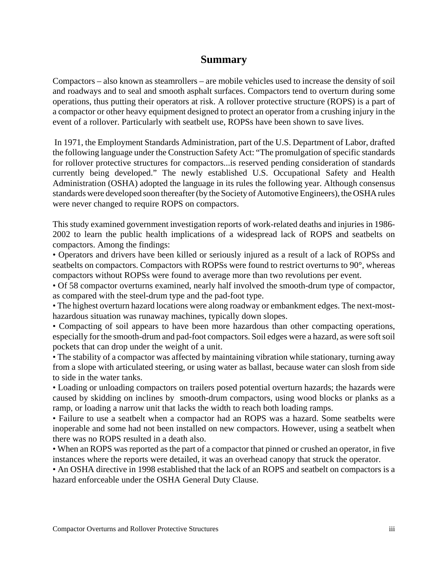## **Summary**

Compactors – also known as steamrollers – are mobile vehicles used to increase the density of soil and roadways and to seal and smooth asphalt surfaces. Compactors tend to overturn during some operations, thus putting their operators at risk. A rollover protective structure (ROPS) is a part of a compactor or other heavy equipment designed to protect an operator from a crushing injury in the event of a rollover. Particularly with seatbelt use, ROPSs have been shown to save lives.

 In 1971, the Employment Standards Administration, part of the U.S. Department of Labor, drafted the following language under the Construction Safety Act: "The promulgation of specific standards for rollover protective structures for compactors...is reserved pending consideration of standards currently being developed." The newly established U.S. Occupational Safety and Health Administration (OSHA) adopted the language in its rules the following year. Although consensus standards were developed soon thereafter (by the Society of Automotive Engineers), the OSHA rules were never changed to require ROPS on compactors.

This study examined government investigation reports of work-related deaths and injuries in 1986- 2002 to learn the public health implications of a widespread lack of ROPS and seatbelts on compactors. Among the findings:

• Operators and drivers have been killed or seriously injured as a result of a lack of ROPSs and seatbelts on compactors. Compactors with ROPSs were found to restrict overturns to 90°, whereas compactors without ROPSs were found to average more than two revolutions per event.

• Of 58 compactor overturns examined, nearly half involved the smooth-drum type of compactor, as compared with the steel-drum type and the pad-foot type.

• The highest overturn hazard locations were along roadway or embankment edges. The next-mosthazardous situation was runaway machines, typically down slopes.

• Compacting of soil appears to have been more hazardous than other compacting operations, especially for the smooth-drum and pad-foot compactors. Soil edges were a hazard, as were soft soil pockets that can drop under the weight of a unit.

• The stability of a compactor was affected by maintaining vibration while stationary, turning away from a slope with articulated steering, or using water as ballast, because water can slosh from side to side in the water tanks.

• Loading or unloading compactors on trailers posed potential overturn hazards; the hazards were caused by skidding on inclines by smooth-drum compactors, using wood blocks or planks as a ramp, or loading a narrow unit that lacks the width to reach both loading ramps.

• Failure to use a seatbelt when a compactor had an ROPS was a hazard. Some seatbelts were inoperable and some had not been installed on new compactors. However, using a seatbelt when there was no ROPS resulted in a death also.

• When an ROPS was reported as the part of a compactor that pinned or crushed an operator, in five instances where the reports were detailed, it was an overhead canopy that struck the operator.

• An OSHA directive in 1998 established that the lack of an ROPS and seatbelt on compactors is a hazard enforceable under the OSHA General Duty Clause.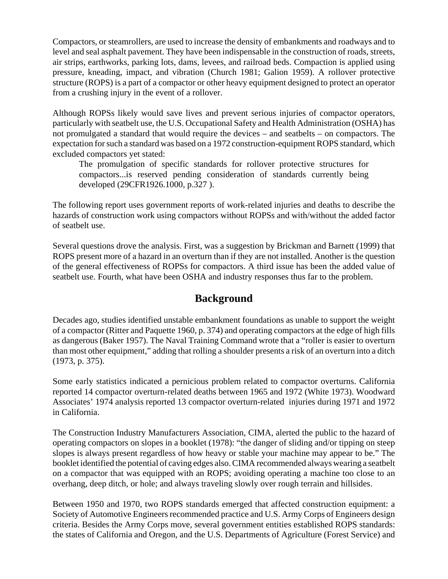Compactors, or steamrollers, are used to increase the density of embankments and roadways and to level and seal asphalt pavement. They have been indispensable in the construction of roads, streets, air strips, earthworks, parking lots, dams, levees, and railroad beds. Compaction is applied using pressure, kneading, impact, and vibration (Church 1981; Galion 1959). A rollover protective structure (ROPS) is a part of a compactor or other heavy equipment designed to protect an operator from a crushing injury in the event of a rollover.

Although ROPSs likely would save lives and prevent serious injuries of compactor operators, particularly with seatbelt use, the U.S. Occupational Safety and Health Administration (OSHA) has not promulgated a standard that would require the devices – and seatbelts – on compactors. The expectation for such a standard was based on a 1972 construction-equipment ROPS standard, which excluded compactors yet stated:

The promulgation of specific standards for rollover protective structures for compactors...is reserved pending consideration of standards currently being developed (29CFR1926.1000, p.327 ).

The following report uses government reports of work-related injuries and deaths to describe the hazards of construction work using compactors without ROPSs and with/without the added factor of seatbelt use.

Several questions drove the analysis. First, was a suggestion by Brickman and Barnett (1999) that ROPS present more of a hazard in an overturn than if they are not installed. Another is the question of the general effectiveness of ROPSs for compactors. A third issue has been the added value of seatbelt use. Fourth, what have been OSHA and industry responses thus far to the problem.

# **Background**

Decades ago, studies identified unstable embankment foundations as unable to support the weight of a compactor (Ritter and Paquette 1960, p. 374) and operating compactors at the edge of high fills as dangerous (Baker 1957). The Naval Training Command wrote that a "roller is easier to overturn than most other equipment," adding that rolling a shoulder presents a risk of an overturn into a ditch (1973, p. 375).

Some early statistics indicated a pernicious problem related to compactor overturns. California reported 14 compactor overturn-related deaths between 1965 and 1972 (White 1973). Woodward Associates' 1974 analysis reported 13 compactor overturn-related injuries during 1971 and 1972 in California.

The Construction Industry Manufacturers Association, CIMA, alerted the public to the hazard of operating compactors on slopes in a booklet (1978): "the danger of sliding and/or tipping on steep slopes is always present regardless of how heavy or stable your machine may appear to be." The booklet identified the potential of caving edges also. CIMA recommended always wearing a seatbelt on a compactor that was equipped with an ROPS; avoiding operating a machine too close to an overhang, deep ditch, or hole; and always traveling slowly over rough terrain and hillsides.

Between 1950 and 1970, two ROPS standards emerged that affected construction equipment: a Society of Automotive Engineers recommended practice and U.S. Army Corps of Engineers design criteria. Besides the Army Corps move, several government entities established ROPS standards: the states of California and Oregon, and the U.S. Departments of Agriculture (Forest Service) and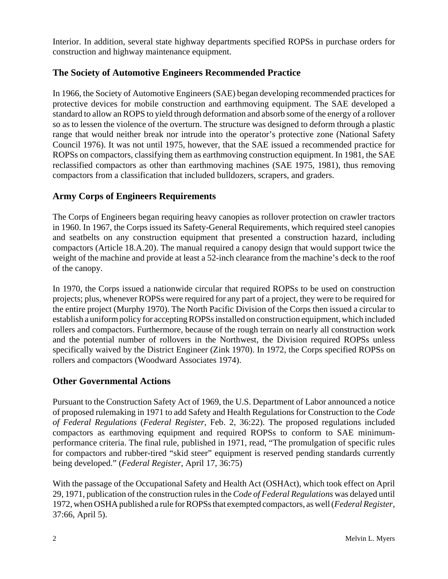Interior. In addition, several state highway departments specified ROPSs in purchase orders for construction and highway maintenance equipment.

### **The Society of Automotive Engineers Recommended Practice**

In 1966, the Society of Automotive Engineers (SAE) began developing recommended practices for protective devices for mobile construction and earthmoving equipment. The SAE developed a standard to allow an ROPS to yield through deformation and absorb some of the energy of a rollover so as to lessen the violence of the overturn. The structure was designed to deform through a plastic range that would neither break nor intrude into the operator's protective zone (National Safety Council 1976). It was not until 1975, however, that the SAE issued a recommended practice for ROPSs on compactors, classifying them as earthmoving construction equipment. In 1981, the SAE reclassified compactors as other than earthmoving machines (SAE 1975, 1981), thus removing compactors from a classification that included bulldozers, scrapers, and graders.

### **Army Corps of Engineers Requirements**

The Corps of Engineers began requiring heavy canopies as rollover protection on crawler tractors in 1960. In 1967, the Corps issued its Safety-General Requirements, which required steel canopies and seatbelts on any construction equipment that presented a construction hazard, including compactors (Article 18.A.20). The manual required a canopy design that would support twice the weight of the machine and provide at least a 52-inch clearance from the machine's deck to the roof of the canopy.

In 1970, the Corps issued a nationwide circular that required ROPSs to be used on construction projects; plus, whenever ROPSs were required for any part of a project, they were to be required for the entire project (Murphy 1970). The North Pacific Division of the Corps then issued a circular to establish a uniform policy for accepting ROPSs installed on construction equipment, which included rollers and compactors. Furthermore, because of the rough terrain on nearly all construction work and the potential number of rollovers in the Northwest, the Division required ROPSs unless specifically waived by the District Engineer (Zink 1970). In 1972, the Corps specified ROPSs on rollers and compactors (Woodward Associates 1974).

### **Other Governmental Actions**

Pursuant to the Construction Safety Act of 1969, the U.S. Department of Labor announced a notice of proposed rulemaking in 1971 to add Safety and Health Regulations for Construction to the *Code of Federal Regulations* (*Federal Register*, Feb. 2, 36:22). The proposed regulations included compactors as earthmoving equipment and required ROPSs to conform to SAE minimumperformance criteria. The final rule, published in 1971, read, "The promulgation of specific rules for compactors and rubber-tired "skid steer" equipment is reserved pending standards currently being developed." (*Federal Register*, April 17, 36:75)

With the passage of the Occupational Safety and Health Act (OSHAct), which took effect on April 29, 1971, publication of the construction rules in the *Code of Federal Regulations* was delayed until 1972, when OSHA published a rule for ROPSs that exempted compactors, as well (*Federal Register,* 37:66, April 5).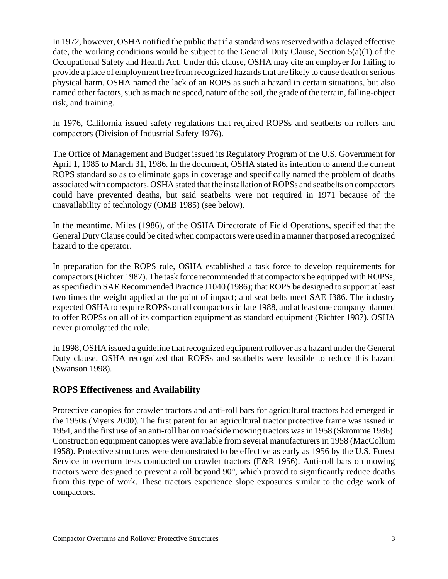In 1972, however, OSHA notified the public that if a standard was reserved with a delayed effective date, the working conditions would be subject to the General Duty Clause, Section 5(a)(1) of the Occupational Safety and Health Act. Under this clause, OSHA may cite an employer for failing to provide a place of employment free from recognized hazards that are likely to cause death or serious physical harm. OSHA named the lack of an ROPS as such a hazard in certain situations, but also named other factors, such as machine speed, nature of the soil, the grade of the terrain, falling-object risk, and training.

In 1976, California issued safety regulations that required ROPSs and seatbelts on rollers and compactors (Division of Industrial Safety 1976).

The Office of Management and Budget issued its Regulatory Program of the U.S. Government for April 1, 1985 to March 31, 1986. In the document, OSHA stated its intention to amend the current ROPS standard so as to eliminate gaps in coverage and specifically named the problem of deaths associated with compactors. OSHA stated that the installation of ROPSs and seatbelts on compactors could have prevented deaths, but said seatbelts were not required in 1971 because of the unavailability of technology (OMB 1985) (see below).

In the meantime, Miles (1986), of the OSHA Directorate of Field Operations, specified that the General Duty Clause could be cited when compactors were used in a manner that posed a recognized hazard to the operator.

In preparation for the ROPS rule, OSHA established a task force to develop requirements for compactors (Richter 1987). The task force recommended that compactors be equipped with ROPSs, as specified in SAE Recommended Practice J1040 (1986); that ROPS be designed to support at least two times the weight applied at the point of impact; and seat belts meet SAE J386. The industry expected OSHA to require ROPSs on all compactors in late 1988, and at least one company planned to offer ROPSs on all of its compaction equipment as standard equipment (Richter 1987). OSHA never promulgated the rule.

In 1998, OSHA issued a guideline that recognized equipment rollover as a hazard under the General Duty clause. OSHA recognized that ROPSs and seatbelts were feasible to reduce this hazard (Swanson 1998).

### **ROPS Effectiveness and Availability**

Protective canopies for crawler tractors and anti-roll bars for agricultural tractors had emerged in the 1950s (Myers 2000). The first patent for an agricultural tractor protective frame was issued in 1954, and the first use of an anti-roll bar on roadside mowing tractors was in 1958 (Skromme 1986). Construction equipment canopies were available from several manufacturers in 1958 (MacCollum 1958). Protective structures were demonstrated to be effective as early as 1956 by the U.S. Forest Service in overturn tests conducted on crawler tractors (E&R 1956). Anti-roll bars on mowing tractors were designed to prevent a roll beyond 90°, which proved to significantly reduce deaths from this type of work. These tractors experience slope exposures similar to the edge work of compactors.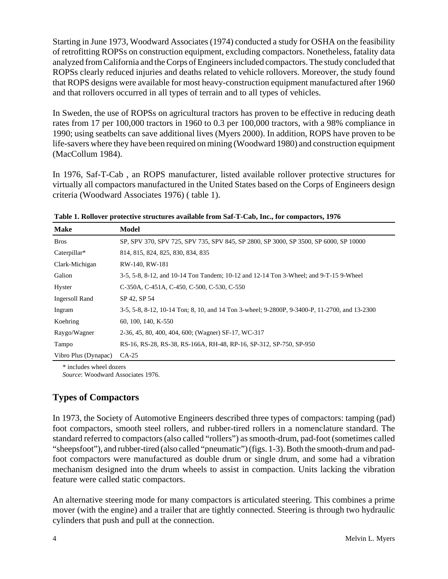Starting in June 1973, Woodward Associates (1974) conducted a study for OSHA on the feasibility of retrofitting ROPSs on construction equipment, excluding compactors. Nonetheless, fatality data analyzed from California and the Corps of Engineers included compactors. The study concluded that ROPSs clearly reduced injuries and deaths related to vehicle rollovers. Moreover, the study found that ROPS designs were available for most heavy-construction equipment manufactured after 1960 and that rollovers occurred in all types of terrain and to all types of vehicles.

In Sweden, the use of ROPSs on agricultural tractors has proven to be effective in reducing death rates from 17 per 100,000 tractors in 1960 to 0.3 per 100,000 tractors, with a 98% compliance in 1990; using seatbelts can save additional lives (Myers 2000). In addition, ROPS have proven to be life-savers where they have been required on mining (Woodward 1980) and construction equipment (MacCollum 1984).

In 1976, Saf-T-Cab , an ROPS manufacturer, listed available rollover protective structures for virtually all compactors manufactured in the United States based on the Corps of Engineers design criteria (Woodward Associates 1976) ( table 1).

| <b>Make</b>          | Model                                                                                         |
|----------------------|-----------------------------------------------------------------------------------------------|
| <b>Bros</b>          | SP, SPV 370, SPV 725, SPV 735, SPV 845, SP 2800, SP 3000, SP 3500, SP 6000, SP 10000          |
| Caterpillar*         | 814, 815, 824, 825, 830, 834, 835                                                             |
| Clark-Michigan       | RW-140, RW-181                                                                                |
| Galion               | 3-5, 5-8, 8-12, and 10-14 Ton Tandem; 10-12 and 12-14 Ton 3-Wheel; and 9-T-15 9-Wheel         |
| Hyster               | C-350A, C-451A, C-450, C-500, C-530, C-550                                                    |
| Ingersoll Rand       | SP 42, SP 54                                                                                  |
| Ingram               | 3-5, 5-8, 8-12, 10-14 Ton; 8, 10, and 14 Ton 3-wheel; 9-2800P, 9-3400-P, 11-2700, and 13-2300 |
| Koehring             | 60, 100, 140, K-550                                                                           |
| Raygo/Wagner         | 2-36, 45, 80, 400, 404, 600; (Wagner) SF-17, WC-317                                           |
| Tampo                | RS-16, RS-28, RS-38, RS-166A, RH-48, RP-16, SP-312, SP-750, SP-950                            |
| Vibro Plus (Dynapac) | $CA-25$                                                                                       |

**Table 1. Rollover protective structures available from Saf-T-Cab, Inc., for compactors, 1976** 

\* includes wheel dozers

 *Source*: Woodward Associates 1976.

### **Types of Compactors**

In 1973, the Society of Automotive Engineers described three types of compactors: tamping (pad) foot compactors, smooth steel rollers, and rubber-tired rollers in a nomenclature standard. The standard referred to compactors (also called "rollers") as smooth-drum, pad-foot (sometimes called "sheepsfoot"), and rubber-tired (also called "pneumatic") (figs. 1-3). Both the smooth-drum and padfoot compactors were manufactured as double drum or single drum, and some had a vibration mechanism designed into the drum wheels to assist in compaction. Units lacking the vibration feature were called static compactors.

An alternative steering mode for many compactors is articulated steering. This combines a prime mover (with the engine) and a trailer that are tightly connected. Steering is through two hydraulic cylinders that push and pull at the connection.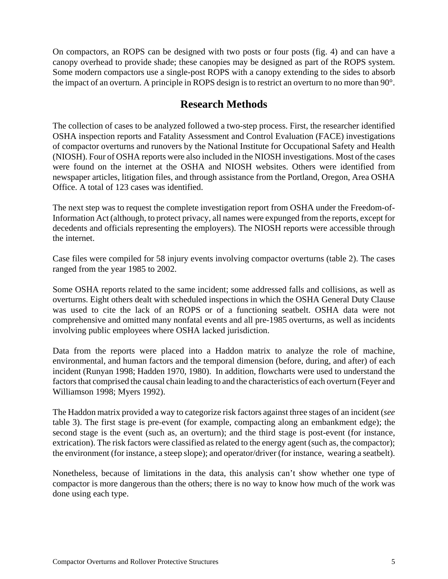On compactors, an ROPS can be designed with two posts or four posts (fig. 4) and can have a canopy overhead to provide shade; these canopies may be designed as part of the ROPS system. Some modern compactors use a single-post ROPS with a canopy extending to the sides to absorb the impact of an overturn. A principle in ROPS design is to restrict an overturn to no more than 90°.

# **Research Methods**

The collection of cases to be analyzed followed a two-step process. First, the researcher identified OSHA inspection reports and Fatality Assessment and Control Evaluation (FACE) investigations of compactor overturns and runovers by the National Institute for Occupational Safety and Health (NIOSH). Four of OSHA reports were also included in the NIOSH investigations. Most of the cases were found on the internet at the OSHA and NIOSH websites. Others were identified from newspaper articles, litigation files, and through assistance from the Portland, Oregon, Area OSHA Office. A total of 123 cases was identified.

The next step was to request the complete investigation report from OSHA under the Freedom-of-Information Act (although, to protect privacy, all names were expunged from the reports, except for decedents and officials representing the employers). The NIOSH reports were accessible through the internet.

Case files were compiled for 58 injury events involving compactor overturns (table 2). The cases ranged from the year 1985 to 2002.

Some OSHA reports related to the same incident; some addressed falls and collisions, as well as overturns. Eight others dealt with scheduled inspections in which the OSHA General Duty Clause was used to cite the lack of an ROPS or of a functioning seatbelt. OSHA data were not comprehensive and omitted many nonfatal events and all pre-1985 overturns, as well as incidents involving public employees where OSHA lacked jurisdiction.

Data from the reports were placed into a Haddon matrix to analyze the role of machine, environmental, and human factors and the temporal dimension (before, during, and after) of each incident (Runyan 1998; Hadden 1970, 1980). In addition, flowcharts were used to understand the factors that comprised the causal chain leading to and the characteristics of each overturn (Feyer and Williamson 1998; Myers 1992).

The Haddon matrix provided a way to categorize risk factors against three stages of an incident (*see* table 3). The first stage is pre-event (for example, compacting along an embankment edge); the second stage is the event (such as, an overturn); and the third stage is post-event (for instance, extrication). The risk factors were classified as related to the energy agent (such as, the compactor); the environment (for instance, a steep slope); and operator/driver (for instance, wearing a seatbelt).

Nonetheless, because of limitations in the data, this analysis can't show whether one type of compactor is more dangerous than the others; there is no way to know how much of the work was done using each type.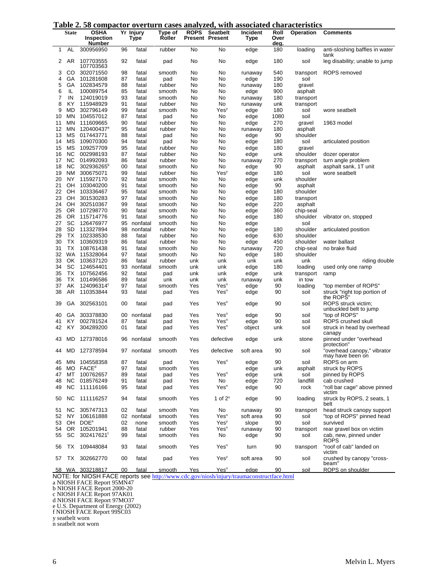|  |  |  |  |  |  | Table 2.58 compactor overturn cases analyzed, with associated characteristics |
|--|--|--|--|--|--|-------------------------------------------------------------------------------|
|--|--|--|--|--|--|-------------------------------------------------------------------------------|

|          | TUNIC<br><b>State</b> | ັັ<br>$\ddot{\phantom{a}}$<br><b>OSHA</b><br><b>Inspection</b><br><b>Number</b> | puccon   | Yr Injury<br>Type | Type of<br>Roller | UUJUJ UIIUI<br><b>ROPS</b> | , , , , , , ,<br><b>Seatbelt</b><br><b>Present Present</b> | <b>HILL ADDOCINICA</b><br>Incident<br><b>Type</b> | Roll<br>Over<br>deg. | chai acter lotres<br>Operation | <b>Comments</b>                                     |
|----------|-----------------------|---------------------------------------------------------------------------------|----------|-------------------|-------------------|----------------------------|------------------------------------------------------------|---------------------------------------------------|----------------------|--------------------------------|-----------------------------------------------------|
| 1        | AL                    | 300956950                                                                       | 96       | fatal             | rubber            | No                         | No                                                         | edge                                              | 180                  | loading                        | anti-sloshing baffles in water<br>tank              |
| 2        | AR                    | 107703555<br>107703563                                                          | 92       | fatal             | pad               | No                         | No                                                         | edge                                              | 180                  | soil                           | leg disability; unable to jump                      |
| 3        | CO.                   | 302071550                                                                       | 98       | fatal             | smooth            | No                         | No                                                         | runaway                                           | 540                  | transport                      | <b>ROPS</b> removed                                 |
| 4        | GA                    | 101281608                                                                       | 87       | fatal             | pad               | No                         | No                                                         | edge                                              | 190                  | soil                           |                                                     |
| 5<br>6   | GA<br>IL              | 102834579<br>100089754                                                          | 88<br>85 | fatal<br>fatal    | rubber            | No<br>No                   | No<br>No                                                   | runaway                                           | 180<br>900           | gravel<br>asphalt              |                                                     |
| 7        | IN                    | 124019019                                                                       | 93       | fatal             | smooth<br>smooth  | No                         | No                                                         | edge<br>runaway                                   | 180                  | transport                      |                                                     |
| 8        | KY                    | 115948929                                                                       | 91       | fatal             | rubber            | No                         | No                                                         | runaway                                           | unk                  | transport                      |                                                     |
| 9        | MD                    | 302796149                                                                       | 99       | fatal             | smooth            | No                         | Yes <sup>y</sup>                                           | edge                                              | 180                  | soil                           | wore seatbelt                                       |
| 10       | <b>MN</b>             | 104557012                                                                       | 87       | fatal             | pad               | No                         | No                                                         | edge                                              | 1080                 | soil                           |                                                     |
| 11       | MN                    | 111609665                                                                       | 90       | fatal             | rubber            | No                         | No                                                         | edge                                              | 270                  | gravel                         | 1963 model                                          |
| 12       | <b>MN</b>             | 120400437 <sup>a</sup>                                                          | 95       | fatal             | rubber            | No                         | No                                                         | runaway                                           | 180                  | asphalt                        |                                                     |
| 13       | MS                    | 017443771                                                                       | 88       | fatal             | pad               | No                         | No                                                         | edge                                              | 90                   | shoulder                       |                                                     |
| 14<br>15 | ΜS<br>MS              | 109070300<br>109257709                                                          | 94<br>95 | fatal             | pad<br>rubber     | No<br>No                   | No<br>No                                                   | edge                                              | 180<br>180           | soil                           | articulated position                                |
| 16       | <b>NC</b>             | 002998193                                                                       | 87       | fatal<br>fatal    | rubber            | No                         | No                                                         | edge<br>edge                                      | unk                  | gravel<br>shoulder             | dozer operator                                      |
| 17       | <b>NC</b>             | 014992093                                                                       | 86       | fatal             | rubber            | No                         | No                                                         | runaway                                           | 270                  | transport                      | turn angle problem                                  |
| 18       | <b>NC</b>             | 302936265 <sup>b</sup>                                                          | 00       | fatal             | smooth            | No                         | No                                                         | edge                                              | 90                   | asphalt                        | asphalt sank, 1T unit                               |
| 19       | <b>NM</b>             | 300675071                                                                       | 99       | fatal             | rubber            | No                         | Yes <sup>y</sup>                                           | edge                                              | 180                  | soil                           | wore seatbelt                                       |
| 20       | NY                    | 115927170                                                                       | 92       | fatal             | smooth            | No                         | No                                                         | edge                                              | unk                  | shoulder                       |                                                     |
| 21       | OH                    | 103040200                                                                       | 91       | fatal             | smooth            | No                         | No                                                         | edge                                              | 90                   | asphalt                        |                                                     |
| 22       | OH                    | 103336467                                                                       | 95       | fatal             | smooth            | No                         | No                                                         | edge                                              | 180                  | shoulder                       |                                                     |
| 23       | OH                    | 301530283                                                                       | 97       | fatal             | smooth            | No                         | No                                                         | edge                                              | 180                  | transport                      |                                                     |
| 24<br>25 | OH<br><b>OR</b>       | 302510367                                                                       | 99<br>90 | fatal             | smooth            | No                         | No                                                         | edge                                              | 220                  | asphalt                        |                                                     |
| 26       | <b>OR</b>             | 107298770<br>115714776                                                          | 91       | fatal<br>fatal    | smooth<br>smooth  | No<br>No                   | No<br>No                                                   | edge<br>edge                                      | 360<br>180           | chip-seal<br>shoulder          | vibrator on, stopped                                |
| 27       | SC                    | 126476977                                                                       | 95       | nonfatal          | smooth            | No                         | No                                                         | edge                                              |                      | soil                           |                                                     |
| 28       | <b>SD</b>             | 113327894                                                                       | 98       | nonfatal          | rubber            | No                         | No                                                         | edge                                              | 180                  | shoulder                       | articulated position                                |
| 29       | ТX                    | 102338530                                                                       | 88       | fatal             | rubber            | No                         | No                                                         | edge                                              | 630                  | shoulder                       |                                                     |
| 30       | TX                    | 103609319                                                                       | 86       | fatal             | rubber            | No                         | No                                                         | edge                                              | 450                  | shoulder                       | water ballast                                       |
| 31       | TX                    | 108761438                                                                       | 91       | fatal             | smooth            | No                         | No                                                         | runaway                                           | 720                  | chip-seal                      | no brake fluid                                      |
| 32       | WA                    | 115328064                                                                       | 97       | fatal             | smooth            | No                         | No                                                         | edge                                              | 180                  | shoulder                       |                                                     |
| 33       | OK                    | 103637120                                                                       | 86       | fatal             | rubber            | unk                        | unk                                                        | unk                                               | unk                  | unk                            | riding double                                       |
| 34<br>35 | SC<br>ТX              | 124654401                                                                       | 93       | nonfatal          | smooth            | unk                        | unk                                                        | edge                                              | 180                  | loading                        | used only one ramp                                  |
| 36       | ТX                    | 107562456<br>101496586                                                          | 92<br>89 | fatal<br>fatal    | pad<br>unk        | unk<br>unk                 | unk<br>unk                                                 | edge<br>runaway                                   | unk<br>unk           | transport<br>in tow            | ramp                                                |
| 37       | AK                    | 124096314 <sup>c</sup>                                                          | 97       | fatal             | smooth            | Yes                        | Yes"                                                       | edge                                              | 90                   | loading                        | "top member of ROPS"                                |
| 38       | AR                    | 110353844                                                                       | 93       | fatal             | pad               | Yes                        | Yes <sup>n</sup>                                           | edge                                              | 90                   | soil                           | struck "right top portion of<br>the ROPS'           |
| 39       | GA                    | 302563101                                                                       | 00       | fatal             | pad               | Yes                        | Yes <sup>n</sup>                                           | edge                                              | 90                   | soil                           | ROPS struck victim;<br>unbuckled belt to jump       |
| 40       | GA                    | 303378830                                                                       | 00       | nonfatal          | pad               | Yes                        | Yes <sup>n</sup>                                           | edge                                              | 90                   | soil                           | "top of ROPS"                                       |
| 41       | KY                    | 002781524                                                                       | 87       | fatal             | pad               | Yes                        | Yes"                                                       | edge                                              | 90                   | soil                           | ROPS crushed skull                                  |
| 42       | KY                    | 304289200                                                                       | 01       | fatal             | pad               | Yes                        | Yes <sup>n</sup>                                           | object                                            | unk                  | soil                           | struck in head by overhead<br>canapy                |
| 43       | MD                    | 127378016                                                                       | 96       | nonfatal          | smooth            | Yes                        | defective                                                  | edge                                              | unk                  | stone                          | pinned under "overhead<br>protection"               |
| 44       | MD                    | 127378594                                                                       |          | 97 nonfatal       | smooth            | Yes                        | defective                                                  | soft area                                         | 90                   | soil                           | "overhead canopy," vibrator<br>may have been on     |
| 45<br>46 | ΜN<br><b>MO</b>       | 104558358<br>FACE <sup>d</sup>                                                  | 87<br>97 | fatal<br>fatal    | pad<br>smooth     | Yes<br>Yes                 | Yes <sup>n</sup>                                           | edge<br>edge                                      | 90<br>unk            | soil<br>asphalt                | ROPS on arm<br>struck by ROPS                       |
| 47       | MT                    | 100762657                                                                       | 89       | fatal             | pad               | Yes                        | Yes <sup>n</sup>                                           | edge                                              | unk                  | soil                           | pinned by ROPS                                      |
| 48       | NC.                   | 018576249                                                                       | 91       | fatal             | pad               | Yes                        | No                                                         | edge                                              | 720                  | landfill                       | cab crushed                                         |
| 49       | NC.                   | 111116166                                                                       | 95       | fatal             | pad               | Yes                        | Yes <sup>n</sup>                                           | edge                                              | 90                   | rock                           | "roll bar cage" above pinned<br>victim              |
| 50       | NC                    | 111116257                                                                       | 94       | fatal             | smooth            | Yes                        | 1 of $2n$                                                  | edge                                              | 90                   | loading                        | struck by ROPS, 2 seats, 1<br>belt                  |
| 51       | <b>NC</b>             | 305747313                                                                       | 02       | fatal             | smooth            | Yes                        | No                                                         | runaway                                           | 90                   | transport                      | head struck canopy support                          |
| 52       | NY                    | 106161888                                                                       | 02       | nonfatal          | smooth            | Yes                        | Yes <sup>n</sup>                                           | soft area                                         | 90                   | soil                           | "top of ROPS" pinned head                           |
| 53       | OH                    | DOE <sup>e</sup>                                                                | 02       | none              | smooth            | Yes                        | Yes <sup>y</sup>                                           | slope                                             | 90                   | soil                           | survived                                            |
| 54       | 0R<br>SC              | 105201941<br>302417621                                                          | 88       | fatal             | rubber            | Yes                        | Yes <sup>n</sup>                                           | runaway                                           | 90                   | transport                      | rear gravel box on victim<br>cab, new, pinned under |
| 55<br>56 | ТX                    | 109448084                                                                       | 99<br>93 | fatal<br>fatal    | smooth<br>smooth  | Yes<br>Yes                 | No<br>Yes <sup>n</sup>                                     | edge<br>turn                                      | 90<br>90             | soil<br>transport              | ROPS<br>"roof of cab" landed on                     |
| 57       | TX                    | 302662770                                                                       | 00       | fatal             | pad               | Yes                        | Yes <sup>y</sup>                                           | soft area                                         | 90                   | soil                           | victim<br>crushed by canopy "cross-                 |
|          |                       | 58 WA 303218817                                                                 | 00       | <u>fatal</u>      | smooth            | Yes                        | Yes <sup>n</sup>                                           | edge                                              | 90                   | soil                           | beam"<br>ROPS on shoulder                           |

NOTE: for NIOSH FACE reports see http://www.cdc.gov/niosh/injury/traumaconstructface.html

a NIOSH FACE Report 95MN47

b NIOSH FACE Report 2000-20

c NIOSH FACE Report 97AK01

d NIOSH FACE Report 97MO37

e U.S. Department of Energy (2002)

f NIOSH FACE Report 99SC03

y seatbelt worn

n seatbelt not worn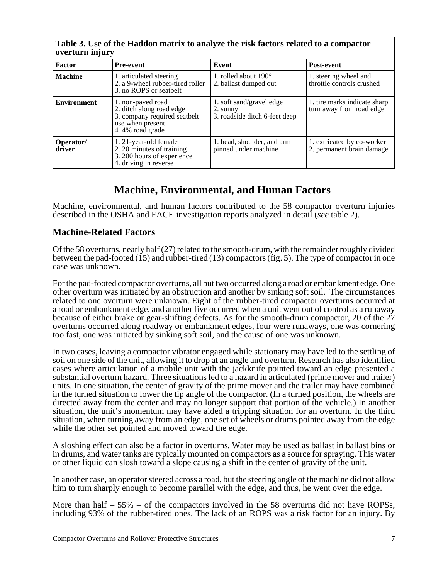| Table 5. Use of the Haddon matrix to analyze the risk factors related to a compactor<br>overturn injury |                                                                                                                      |                                                                       |                                                          |  |  |  |  |  |
|---------------------------------------------------------------------------------------------------------|----------------------------------------------------------------------------------------------------------------------|-----------------------------------------------------------------------|----------------------------------------------------------|--|--|--|--|--|
| Factor                                                                                                  | <b>Pre-event</b>                                                                                                     | Event                                                                 | Post-event                                               |  |  |  |  |  |
| <b>Machine</b>                                                                                          | 1. articulated steering<br>2. a 9-wheel rubber-tired roller<br>3. no ROPS or seatbelt                                | 1. rolled about $190^\circ$<br>2. ballast dumped out                  | 1. steering wheel and<br>throttle controls crushed       |  |  |  |  |  |
| <b>Environment</b>                                                                                      | 1. non-paved road<br>2. ditch along road edge<br>3. company required seatbelt<br>use when present<br>4.4% road grade | 1. soft sand/gravel edge<br>2. sunny<br>3. roadside ditch 6-feet deep | 1. tire marks indicate sharp<br>turn away from road edge |  |  |  |  |  |
| Operator/<br>driver                                                                                     | 1. 21-year-old female<br>2. 20 minutes of training<br>3. 200 hours of experience<br>4. driving in reverse            | 1. head, shoulder, and arm<br>pinned under machine                    | 1. extricated by co-worker<br>2. permanent brain damage  |  |  |  |  |  |

# **Table 3. Use of the Haddon matrix to analyze the risk factors related to a compactor**

# **Machine, Environmental, and Human Factors**

Machine, environmental, and human factors contributed to the 58 compactor overturn injuries described in the OSHA and FACE investigation reports analyzed in detail (*see* table 2).

### **Machine-Related Factors**

Of the 58 overturns, nearly half (27) related to the smooth-drum, with the remainder roughly divided between the pad-footed (15) and rubber-tired (13) compactors (fig. 5). The type of compactor in one case was unknown.

For the pad-footed compactor overturns, all but two occurred along a road or embankment edge. One other overturn was initiated by an obstruction and another by sinking soft soil. The circumstances related to one overturn were unknown. Eight of the rubber-tired compactor overturns occurred at a road or embankment edge, and another five occurred when a unit went out of control as a runaway because of either brake or gear-shifting defects. As for the smooth-drum compactor, 20 of the 27 overturns occurred along roadway or embankment edges, four were runaways, one was cornering too fast, one was initiated by sinking soft soil, and the cause of one was unknown.

In two cases, leaving a compactor vibrator engaged while stationary may have led to the settling of soil on one side of the unit, allowing it to drop at an angle and overturn. Research has also identified cases where articulation of a mobile unit with the jackknife pointed toward an edge presented a substantial overturn hazard. Three situations led to a hazard in articulated (prime mover and trailer) units. In one situation, the center of gravity of the prime mover and the trailer may have combined in the turned situation to lower the tip angle of the compactor. (In a turned position, the wheels are directed away from the center and may no longer support that portion of the vehicle.) In another situation, the unit's momentum may have aided a tripping situation for an overturn. In the third situation, when turning away from an edge, one set of wheels or drums pointed away from the edge while the other set pointed and moved toward the edge.

A sloshing effect can also be a factor in overturns. Water may be used as ballast in ballast bins or in drums, and water tanks are typically mounted on compactors as a source for spraying. This water or other liquid can slosh toward a slope causing a shift in the center of gravity of the unit.

In another case, an operator steered across a road, but the steering angle of the machine did not allow him to turn sharply enough to become parallel with the edge, and thus, he went over the edge.

More than half  $-55%$  – of the compactors involved in the 58 overturns did not have ROPSs, including 93% of the rubber-tired ones. The lack of an ROPS was a risk factor for an injury. By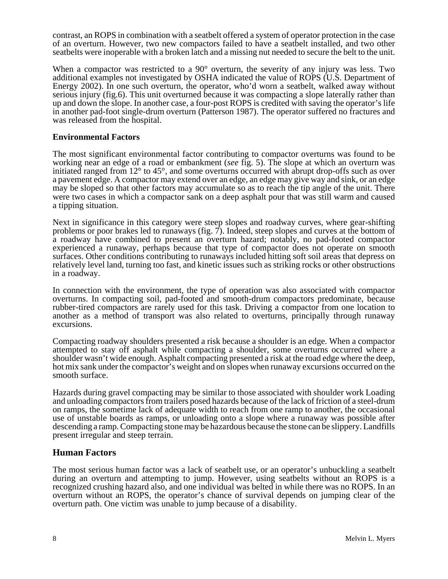contrast, an ROPS in combination with a seatbelt offered a system of operator protection in the case of an overturn. However, two new compactors failed to have a seatbelt installed, and two other seatbelts were inoperable with a broken latch and a missing nut needed to secure the belt to the unit.

When a compactor was restricted to a 90 $^{\circ}$  overturn, the severity of any injury was less. Two additional examples not investigated by OSHA indicated the value of ROPS (U.S. Department of Energy 2002). In one such overturn, the operator, who'd worn a seatbelt, walked away without serious injury (fig.6). This unit overturned because it was compacting a slope laterally rather than up and down the slope. In another case, a four-post ROPS is credited with saving the operator's life in another pad-foot single-drum overturn (Patterson 1987). The operator suffered no fractures and was released from the hospital.

#### **Environmental Factors**

The most significant environmental factor contributing to compactor overturns was found to be working near an edge of a road or embankment (*see* fig. 5). The slope at which an overturn was initiated ranged from 12° to 45°, and some overturns occurred with abrupt drop-offs such as over a pavement edge. A compactor may extend over an edge, an edge may give way and sink, or an edge may be sloped so that other factors may accumulate so as to reach the tip angle of the unit. There were two cases in which a compactor sank on a deep asphalt pour that was still warm and caused a tipping situation.

Next in significance in this category were steep slopes and roadway curves, where gear-shifting problems or poor brakes led to runaways (fig. 7). Indeed, steep slopes and curves at the bottom of a roadway have combined to present an overturn hazard; notably, no pad-footed compactor experienced a runaway, perhaps because that type of compactor does not operate on smooth surfaces. Other conditions contributing to runaways included hitting soft soil areas that depress on relatively level land, turning too fast, and kinetic issues such as striking rocks or other obstructions in a roadway.

In connection with the environment, the type of operation was also associated with compactor overturns. In compacting soil, pad-footed and smooth-drum compactors predominate, because rubber-tired compactors are rarely used for this task. Driving a compactor from one location to another as a method of transport was also related to overturns, principally through runaway excursions.

Compacting roadway shoulders presented a risk because a shoulder is an edge. When a compactor attempted to stay off asphalt while compacting a shoulder, some overturns occurred where a shoulder wasn't wide enough. Asphalt compacting presented a risk at the road edge where the deep, hot mix sank under the compactor's weight and on slopes when runaway excursions occurred on the smooth surface.

Hazards during gravel compacting may be similar to those associated with shoulder work Loading and unloading compactors from trailers posed hazards because of the lack of friction of a steel-drum on ramps, the sometime lack of adequate width to reach from one ramp to another, the occasional use of unstable boards as ramps, or unloading onto a slope where a runaway was possible after descending a ramp. Compacting stone may be hazardous because the stone can be slippery. Landfills present irregular and steep terrain.

#### **Human Factors**

The most serious human factor was a lack of seatbelt use, or an operator's unbuckling a seatbelt during an overturn and attempting to jump. However, using seatbelts without an ROPS is a recognized crushing hazard also, and one individual was belted in while there was no ROPS. In an overturn without an ROPS, the operator's chance of survival depends on jumping clear of the overturn path. One victim was unable to jump because of a disability.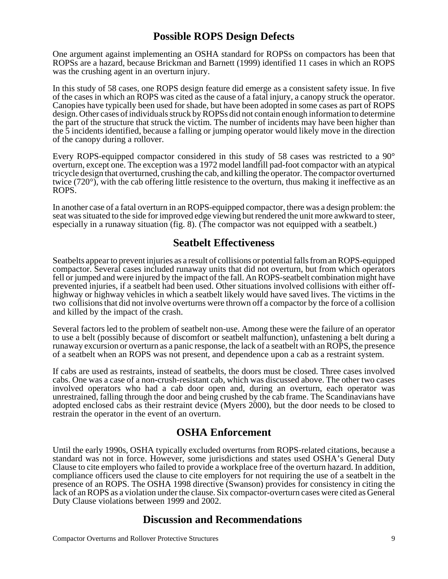# **Possible ROPS Design Defects**

One argument against implementing an OSHA standard for ROPSs on compactors has been that ROPSs are a hazard, because Brickman and Barnett (1999) identified 11 cases in which an ROPS was the crushing agent in an overturn injury.

In this study of 58 cases, one ROPS design feature did emerge as a consistent safety issue. In five of the cases in which an ROPS was cited as the cause of a fatal injury, a canopy struck the operator. Canopies have typically been used for shade, but have been adopted in some cases as part of ROPS design. Other cases of individuals struck by ROPSs did not contain enough information to determine the part of the structure that struck the victim. The number of incidents may have been higher than the 5 incidents identified, because a falling or jumping operator would likely move in the direction of the canopy during a rollover.

Every ROPS-equipped compactor considered in this study of 58 cases was restricted to a 90° overturn, except one. The exception was a 1972 model landfill pad-foot compactor with an atypical tricycle design that overturned, crushing the cab, and killing the operator. The compactor overturned twice (720°), with the cab offering little resistence to the overturn, thus making it ineffective as an ROPS.

In another case of a fatal overturn in an ROPS-equipped compactor, there was a design problem: the seat was situated to the side for improved edge viewing but rendered the unit more awkward to steer, especially in a runaway situation (fig. 8). (The compactor was not equipped with a seatbelt.)

### **Seatbelt Effectiveness**

Seatbelts appear to prevent injuries as a result of collisions or potential falls from an ROPS-equipped compactor. Several cases included runaway units that did not overturn, but from which operators fell or jumped and were injured by the impact of the fall. An ROPS-seatbelt combination might have prevented injuries, if a seatbelt had been used. Other situations involved collisions with either offhighway or highway vehicles in which a seatbelt likely would have saved lives. The victims in the two collisions that did not involve overturns were thrown off a compactor by the force of a collision and killed by the impact of the crash.

Several factors led to the problem of seatbelt non-use. Among these were the failure of an operator to use a belt (possibly because of discomfort or seatbelt malfunction), unfastening a belt during a runaway excursion or overturn as a panic response, the lack of a seatbelt with an ROPS, the presence of a seatbelt when an ROPS was not present, and dependence upon a cab as a restraint system.

If cabs are used as restraints, instead of seatbelts, the doors must be closed. Three cases involved cabs. One was a case of a non-crush-resistant cab, which was discussed above. The other two cases involved operators who had a cab door open and, during an overturn, each operator was unrestrained, falling through the door and being crushed by the cab frame. The Scandinavians have adopted enclosed cabs as their restraint device (Myers 2000), but the door needs to be closed to restrain the operator in the event of an overturn.

## **OSHA Enforcement**

Until the early 1990s, OSHA typically excluded overturns from ROPS-related citations, because a standard was not in force. However, some jurisdictions and states used OSHA's General Duty Clause to cite employers who failed to provide a workplace free of the overturn hazard. In addition, compliance officers used the clause to cite employers for not requiring the use of a seatbelt in the presence of an ROPS. The OSHA 1998 directive (Swanson) provides for consistency in citing the lack of an ROPS as a violation under the clause. Six compactor-overturn cases were cited as General Duty Clause violations between 1999 and 2002.

## **Discussion and Recommendations**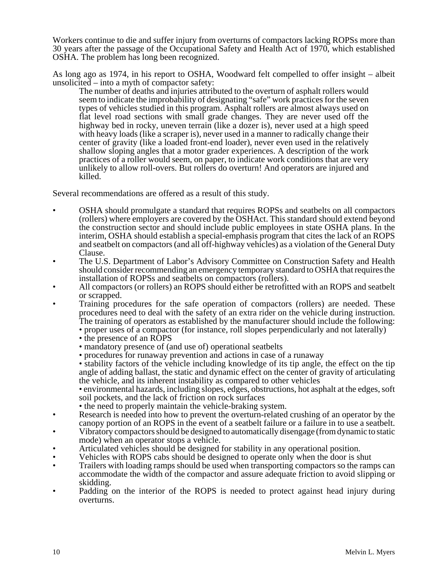Workers continue to die and suffer injury from overturns of compactors lacking ROPSs more than 30 years after the passage of the Occupational Safety and Health Act of 1970, which established OSHA. The problem has long been recognized.

As long ago as 1974, in his report to OSHA, Woodward felt compelled to offer insight – albeit unsolicited – into a myth of compactor safety:

The number of deaths and injuries attributed to the overturn of asphalt rollers would seem to indicate the improbability of designating "safe" work practices for the seven types of vehicles studied in this program. Asphalt rollers are almost always used on flat level road sections with small grade changes. They are never used off the highway bed in rocky, uneven terrain (like a dozer is), never used at a high speed with heavy loads (like a scraper is), never used in a manner to radically change their center of gravity (like a loaded front-end loader), never even used in the relatively shallow sloping angles that a motor grader experiences. A description of the work practices of a roller would seem, on paper, to indicate work conditions that are very unlikely to allow roll-overs. But rollers do overturn! And operators are injured and killed.

Several recommendations are offered as a result of this study.

- OSHA should promulgate a standard that requires ROPSs and seatbelts on all compactors (rollers) where employers are covered by the OSHAct. This standard should extend beyond the construction sector and should include public employees in state OSHA plans. In the interim, OSHA should establish a special-emphasis program that cites the lack of an ROPS and seatbelt on compactors (and all off-highway vehicles) as a violation of the General Duty Clause.
- The U.S. Department of Labor's Advisory Committee on Construction Safety and Health should consider recommending an emergency temporary standard to OSHA that requires the installation of ROPSs and seatbelts on compactors (rollers).
- All compactors (or rollers) an ROPS should either be retrofitted with an ROPS and seatbelt or scrapped.
- Training procedures for the safe operation of compactors (rollers) are needed. These procedures need to deal with the safety of an extra rider on the vehicle during instruction. The training of operators as established by the manufacturer should include the following:
	- proper uses of a compactor (for instance, roll slopes perpendicularly and not laterally)
	- the presence of an ROPS
	- mandatory presence of (and use of) operational seatbelts
	- procedures for runaway prevention and actions in case of a runaway
	- stability factors of the vehicle including knowledge of its tip angle, the effect on the tip angle of adding ballast, the static and dynamic effect on the center of gravity of articulating the vehicle, and its inherent instability as compared to other vehicles

• environmental hazards, including slopes, edges, obstructions, hot asphalt at the edges, soft soil pockets, and the lack of friction on rock surfaces

- the need to properly maintain the vehicle-braking system.
- Research is needed into how to prevent the overturn-related crushing of an operator by the canopy portion of an ROPS in the event of a seatbelt failure or a failure in to use a seatbelt.
- Vibratory compactors should be designed to automatically disengage (from dynamic to static mode) when an operator stops a vehicle.
- Articulated vehicles should be designed for stability in any operational position.
- Vehicles with ROPS cabs should be designed to operate only when the door is shut
- Trailers with loading ramps should be used when transporting compactors so the ramps can accommodate the width of the compactor and assure adequate friction to avoid slipping or skidding.
- Padding on the interior of the ROPS is needed to protect against head injury during overturns.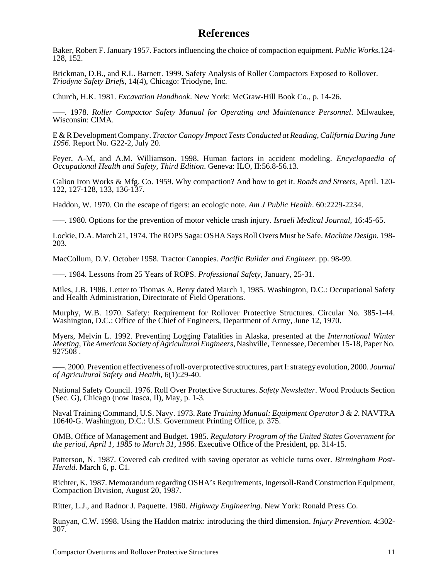## **References**

Baker, Robert F. January 1957. Factors influencing the choice of compaction equipment. *Public Works*.124- 128, 152.

Brickman, D.B., and R.L. Barnett. 1999. Safety Analysis of Roller Compactors Exposed to Rollover. *Triodyne Safety Briefs*, 14(4), Chicago: Triodyne, Inc.

Church, H.K. 1981. *Excavation Handbook*. New York: McGraw-Hill Book Co., p. 14-26.

–––. 1978. *Roller Compactor Safety Manual for Operating and Maintenance Personnel*. Milwaukee, Wisconsin: CIMA.

E & R Development Company. *Tractor Canopy Impact Tests Conducted at Reading, California During June 1956.* Report No. G22-2, July 20.

Feyer, A-M, and A.M. Williamson. 1998. Human factors in accident modeling. *Encyclopaedia of Occupational Health and Safety, Third Edition*. Geneva: ILO, II:56.8-56.13.

Galion Iron Works & Mfg. Co. 1959. Why compaction? And how to get it. *Roads and Streets,* April. 120- 122, 127-128, 133, 136-137.

Haddon, W. 1970. On the escape of tigers: an ecologic note. *Am J Public Health*. 60:2229-2234.

–––. 1980. Options for the prevention of motor vehicle crash injury. *Israeli Medical Journal,* 16:45-65.

Lockie, D.A. March 21, 1974. The ROPS Saga: OSHA Says Roll Overs Must be Safe. *Machine Design*. 198- 203.

MacCollum, D.V. October 1958. Tractor Canopies. *Pacific Builder and Engineer*. pp. 98-99.

–––. 1984. Lessons from 25 Years of ROPS. *Professional Safety,* January, 25-31.

Miles, J.B. 1986. Letter to Thomas A. Berry dated March 1, 1985. Washington, D.C.: Occupational Safety and Health Administration, Directorate of Field Operations.

Murphy, W.B. 1970. Safety: Requirement for Rollover Protective Structures. Circular No. 385-1-44. Washington, D.C.: Office of the Chief of Engineers, Department of Army, June 12, 1970.

Myers, Melvin L. 1992. Preventing Logging Fatalities in Alaska, presented at the *International Winter Meeting, The American Society of Agricultural Engineers*, Nashville, Tennessee, December 15-18, Paper No. 927508 .

–––. 2000. Prevention effectiveness of roll-over protective structures, part I: strategy evolution, 2000. *Journal of Agricultural Safety and Health*, 6(1):29-40.

National Safety Council. 1976. Roll Over Protective Structures. *Safety Newsletter*. Wood Products Section (Sec. G), Chicago (now Itasca, Il), May, p. 1-3.

Naval Training Command, U.S. Navy. 1973. *Rate Training Manual: Equipment Operator 3 & 2*. NAVTRA 10640-G. Washington, D.C.: U.S. Government Printing Office, p. 375.

OMB, Office of Management and Budget. 1985. *Regulatory Program of the United States Government for the period, April 1, 1985 to March 31, 1986.* Executive Office of the President, pp. 314-15.

Patterson, N. 1987. Covered cab credited with saving operator as vehicle turns over. *Birmingham Post-Herald*. March 6, p. C1.

Richter, K. 1987. Memorandum regarding OSHA's Requirements, Ingersoll-Rand Construction Equipment, Compaction Division, August 20, 1987.

Ritter, L.J., and Radnor J. Paquette. 1960. *Highway Engineering*. New York: Ronald Press Co.

Runyan, C.W. 1998. Using the Haddon matrix: introducing the third dimension. *Injury Prevention*. 4:302- 307.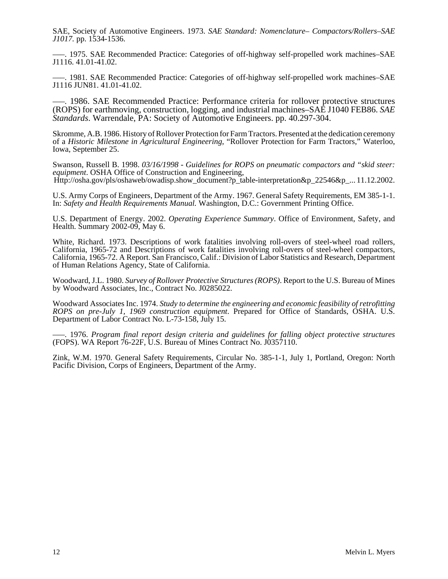SAE, Society of Automotive Engineers. 1973. *SAE Standard: Nomenclature– Compactors/Rollers–SAE J1017.* pp. 1534-1536.

–––. 1975. SAE Recommended Practice: Categories of off-highway self-propelled work machines–SAE J1116. 41.01-41.02.

–––. 1981. SAE Recommended Practice: Categories of off-highway self-propelled work machines–SAE J1116 JUN81. 41.01-41.02.

–––. 1986. SAE Recommended Practice: Performance criteria for rollover protective structures (ROPS) for earthmoving, construction, logging, and industrial machines–SAE J1040 FEB86. *SAE Standards*. Warrendale, PA: Society of Automotive Engineers. pp. 40.297-304.

Skromme, A.B. 1986. History of Rollover Protection for Farm Tractors. Presented at the dedication ceremony of a *Historic Milestone in Agricultural Engineering*, "Rollover Protection for Farm Tractors," Waterloo, Iowa, September 25.

Swanson, Russell B. 1998. *03/16/1998 - Guidelines for ROPS on pneumatic compactors and "skid steer: equipment*. OSHA Office of Construction and Engineering, Http://osha.gov/pls/oshaweb/owadisp.show\_document?p\_table-interpretation&p\_22546&p\_... 11.12.2002.

U.S. Army Corps of Engineers, Department of the Army. 1967. General Safety Requirements, EM 385-1-1. In: *Safety and Health Requirements Manual.* Washington, D.C.: Government Printing Office.

U.S. Department of Energy. 2002. *Operating Experience Summary*. Office of Environment, Safety, and Health. Summary 2002-09, May 6.

White, Richard. 1973. Descriptions of work fatalities involving roll-overs of steel-wheel road rollers, California, 1965-72 and Descriptions of work fatalities involving roll-overs of steel-wheel compactors, California, 1965-72. A Report. San Francisco, Calif.: Division of Labor Statistics and Research, Department of Human Relations Agency, State of California.

Woodward, J.L. 1980. *Survey of Rollover Protective Structures (ROPS)*. Report to the U.S. Bureau of Mines by Woodward Associates, Inc., Contract No. J0285022.

Woodward Associates Inc. 1974. *Study to determine the engineering and economic feasibility of retrofitting ROPS on pre-July 1, 1969 construction equipment*. Prepared for Office of Standards, OSHA. U.S. Department of Labor Contract No. L-73-158, July 15.

–––. 1976. *Program final report design criteria and guidelines for falling object protective structures* (FOPS). WA Report 76-22F, U.S. Bureau of Mines Contract No. J0357110.

Zink, W.M. 1970. General Safety Requirements, Circular No. 385-1-1, July 1, Portland, Oregon: North Pacific Division, Corps of Engineers, Department of the Army.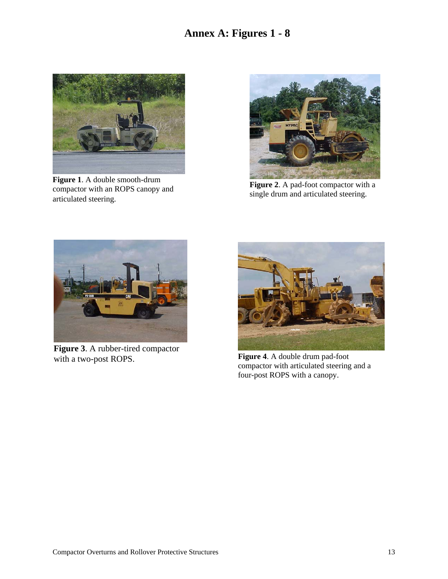# **Annex A: Figures 1 - 8**



**Figure 1**. A double smooth-drum compactor with an ROPS canopy and articulated steering.



**Figure 2**. A pad-foot compactor with a single drum and articulated steering.



**Figure 3**. A rubber-tired compactor with a two-post ROPS. **Figure 4**. A double drum pad-foot



compactor with articulated steering and a four-post ROPS with a canopy.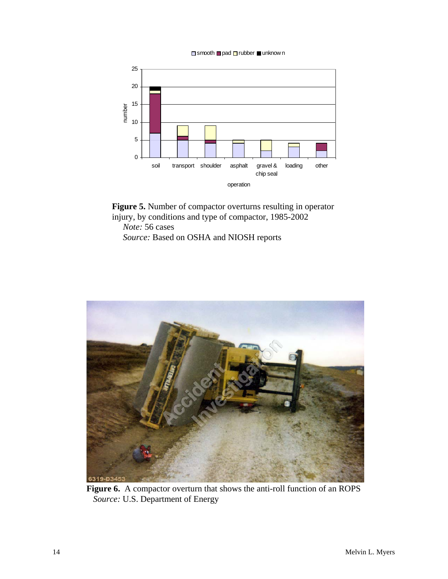$\Box$  smooth  $\Box$  pad  $\Box$  rubber  $\Box$  unknow n



**Figure 5.** Number of compactor overturns resulting in operator injury, by conditions and type of compactor, 1985-2002

 *Note:* 56 cases *Source:* Based on OSHA and NIOSH reports



**Figure 6.** A compactor overturn that shows the anti-roll function of an ROPS *Source:* U.S. Department of Energy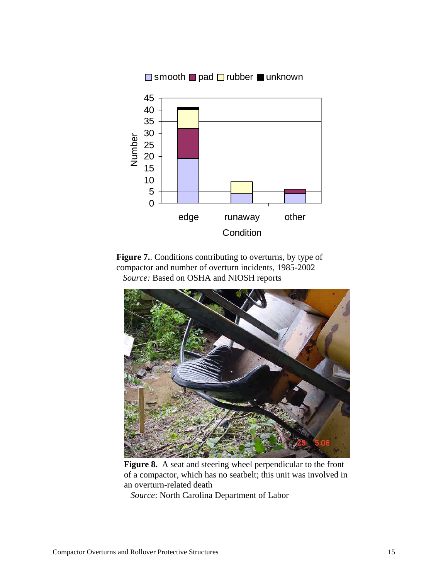

Figure 7. Conditions contributing to overturns, by type of compactor and number of overturn incidents, 1985-2002 *Source:* Based on OSHA and NIOSH reports



**Figure 8.** A seat and steering wheel perpendicular to the front of a compactor, which has no seatbelt; this unit was involved in an overturn-related death

*Source*: North Carolina Department of Labor